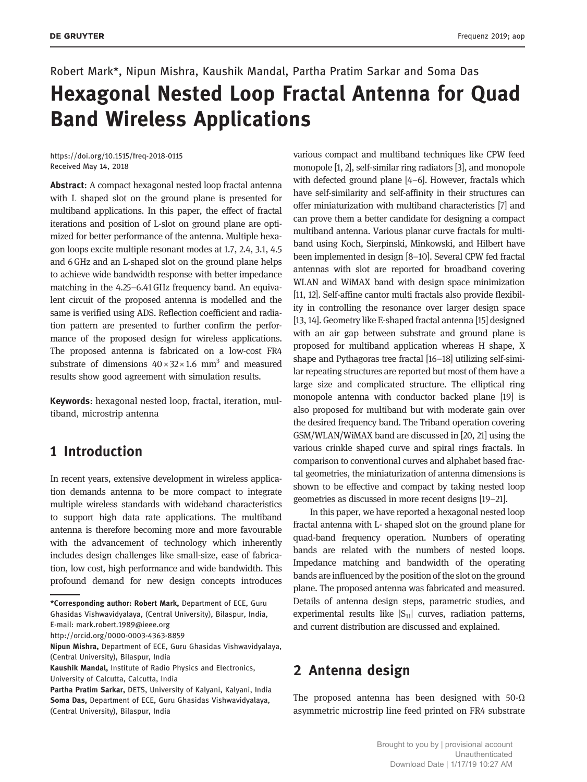# Robert Mark\*, Nipun Mishra, Kaushik Mandal, Partha Pratim Sarkar and Soma Das Hexagonal Nested Loop Fractal Antenna for Quad Band Wireless Applications

https://doi.org/10.1515/freq-2018-0115 Received May 14, 2018

Abstract: A compact hexagonal nested loop fractal antenna with L shaped slot on the ground plane is presented for multiband applications. In this paper, the effect of fractal iterations and position of L-slot on ground plane are optimized for better performance of the antenna. Multiple hexagon loops excite multiple resonant modes at 1.7, 2.4, 3.1, 4.5 and 6 GHz and an L-shaped slot on the ground plane helps to achieve wide bandwidth response with better impedance matching in the 4.25–6.41 GHz frequency band. An equivalent circuit of the proposed antenna is modelled and the same is verified using ADS. Reflection coefficient and radiation pattern are presented to further confirm the performance of the proposed design for wireless applications. The proposed antenna is fabricated on a low-cost FR4 substrate of dimensions  $40 \times 32 \times 1.6$  mm<sup>3</sup> and measured results show good agreement with simulation results.

Keywords: hexagonal nested loop, fractal, iteration, multiband, microstrip antenna

## 1 Introduction

In recent years, extensive development in wireless application demands antenna to be more compact to integrate multiple wireless standards with wideband characteristics to support high data rate applications. The multiband antenna is therefore becoming more and more favourable with the advancement of technology which inherently includes design challenges like small-size, ease of fabrication, low cost, high performance and wide bandwidth. This profound demand for new design concepts introduces

\*Corresponding author: Robert Mark, Department of ECE, Guru Ghasidas Vishwavidyalaya, (Central University), Bilaspur, India,

http://orcid.org/0000-0003-4363-8859

Nipun Mishra, Department of ECE, Guru Ghasidas Vishwavidyalaya, (Central University), Bilaspur, India

various compact and multiband techniques like CPW feed monopole [1, 2], self-similar ring radiators [3], and monopole with defected ground plane [4–6]. However, fractals which have self-similarity and self-affinity in their structures can offer miniaturization with multiband characteristics [7] and can prove them a better candidate for designing a compact multiband antenna. Various planar curve fractals for multiband using Koch, Sierpinski, Minkowski, and Hilbert have been implemented in design [8–10]. Several CPW fed fractal antennas with slot are reported for broadband covering WLAN and WiMAX band with design space minimization [11, 12]. Self-affine cantor multi fractals also provide flexibility in controlling the resonance over larger design space [13, 14]. Geometry like E-shaped fractal antenna [15] designed with an air gap between substrate and ground plane is proposed for multiband application whereas H shape, X shape and Pythagoras tree fractal [16–18] utilizing self-similar repeating structures are reported but most of them have a large size and complicated structure. The elliptical ring monopole antenna with conductor backed plane [19] is also proposed for multiband but with moderate gain over the desired frequency band. The Triband operation covering GSM/WLAN/WiMAX band are discussed in [20, 21] using the various crinkle shaped curve and spiral rings fractals. In comparison to conventional curves and alphabet based fractal geometries, the miniaturization of antenna dimensions is shown to be effective and compact by taking nested loop geometries as discussed in more recent designs [19–21].

In this paper, we have reported a hexagonal nested loop fractal antenna with L- shaped slot on the ground plane for quad-band frequency operation. Numbers of operating bands are related with the numbers of nested loops. Impedance matching and bandwidth of the operating bands are influenced by the position of the slot on the ground plane. The proposed antenna was fabricated and measured. Details of antenna design steps, parametric studies, and experimental results like  $|S_{11}|$  curves, radiation patterns, and current distribution are discussed and explained.

### 2 Antenna design

The proposed antenna has been designed with 50- $\Omega$ asymmetric microstrip line feed printed on FR4 substrate

E-mail: mark.robert.1989@ieee.org

Kaushik Mandal, Institute of Radio Physics and Electronics, University of Calcutta, Calcutta, India

Partha Pratim Sarkar, DETS, University of Kalyani, Kalyani, India Soma Das, Department of ECE, Guru Ghasidas Vishwavidyalaya, (Central University), Bilaspur, India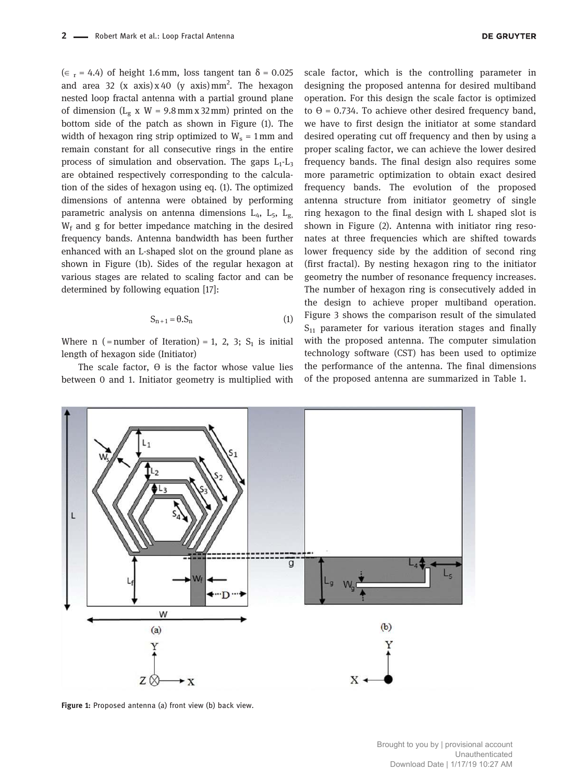$(\epsilon_r = 4.4)$  of height 1.6 mm, loss tangent tan  $\delta = 0.025$ and area 32  $(x \text{ axis}) x 40 (y \text{ axis}) mm^2$ . The hexagon nested loop fractal antenna with a partial ground plane of dimension ( $L_g$  x W = 9.8 mm x 32 mm) printed on the bottom side of the patch as shown in Figure (1). The width of hexagon ring strip optimized to  $W_s = 1$  mm and remain constant for all consecutive rings in the entire process of simulation and observation. The gaps  $L_1$ - $L_3$ are obtained respectively corresponding to the calculation of the sides of hexagon using eq. (1). The optimized dimensions of antenna were obtained by performing parametric analysis on antenna dimensions  $L_4$ ,  $L_5$ ,  $L_g$  $W_f$  and g for better impedance matching in the desired frequency bands. Antenna bandwidth has been further enhanced with an L-shaped slot on the ground plane as shown in Figure (1b). Sides of the regular hexagon at various stages are related to scaling factor and can be determined by following equation [17]:

$$
S_{n+1} = \theta.S_n \tag{1}
$$

Where  $n$  (= number of Iteration) = 1, 2, 3;  $S_1$  is initial length of hexagon side (Initiator)

The scale factor,  $\Theta$  is the factor whose value lies between 0 and 1. Initiator geometry is multiplied with scale factor, which is the controlling parameter in designing the proposed antenna for desired multiband operation. For this design the scale factor is optimized to  $\theta$  = 0.734. To achieve other desired frequency band, we have to first design the initiator at some standard desired operating cut off frequency and then by using a proper scaling factor, we can achieve the lower desired frequency bands. The final design also requires some more parametric optimization to obtain exact desired frequency bands. The evolution of the proposed antenna structure from initiator geometry of single ring hexagon to the final design with L shaped slot is shown in Figure (2). Antenna with initiator ring resonates at three frequencies which are shifted towards lower frequency side by the addition of second ring (first fractal). By nesting hexagon ring to the initiator geometry the number of resonance frequency increases. The number of hexagon ring is consecutively added in the design to achieve proper multiband operation. Figure 3 shows the comparison result of the simulated  $S_{11}$  parameter for various iteration stages and finally with the proposed antenna. The computer simulation technology software (CST) has been used to optimize the performance of the antenna. The final dimensions of the proposed antenna are summarized in Table 1.

L  $\overline{g}$ W  $(b)$  $(a)$  $Z \times$  $\star$  X

Figure 1: Proposed antenna (a) front view (b) back view.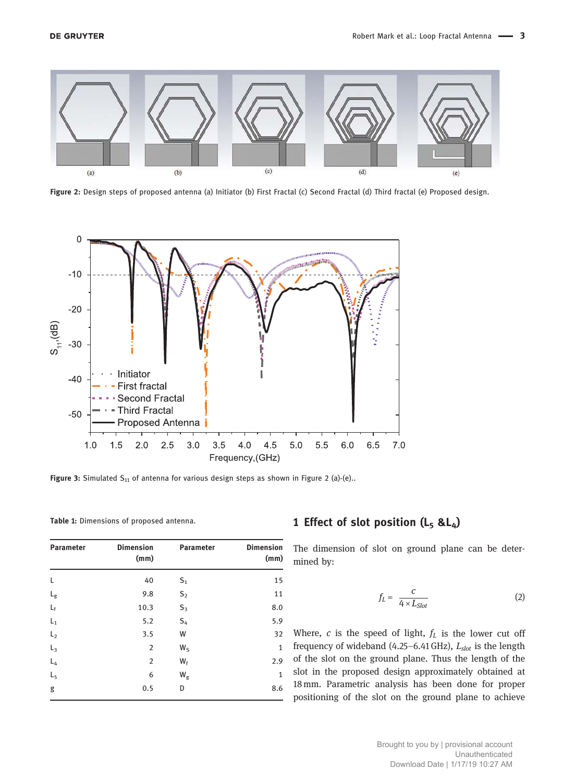

Figure 2: Design steps of proposed antenna (a) Initiator (b) First Fractal (c) Second Fractal (d) Third fractal (e) Proposed design.



Figure 3: Simulated  $S_{11}$  of antenna for various design steps as shown in Figure 2 (a)-(e)..

Table 1: Dimensions of proposed antenna.

| <b>Parameter</b> | <b>Dimension</b><br>(mm) | <b>Parameter</b> | <b>Dimension</b><br>(mm) |
|------------------|--------------------------|------------------|--------------------------|
| L                | 40                       | $S_1$            | 15                       |
| $L_{\rm g}$      | 9.8                      | S <sub>2</sub>   | 11                       |
| $L_{\rm f}$      | 10.3                     | $S_3$            | 8.0                      |
| $L_1$            | 5.2                      | $S_4$            | 5.9                      |
| L <sub>2</sub>   | 3.5                      | W                | 32                       |
| $L_3$            | 2                        | $W_{S}$          | 1                        |
| $L_4$            | $\overline{2}$           | $W_f$            | 2.9                      |
| L <sub>5</sub>   | 6                        | $W_g$            | 1                        |
| g                | 0.5                      | D                | 8.6                      |

#### 1 Effect of slot position  $(L_5 \& L_4)$

The dimension of slot on ground plane can be determined by:

$$
f_L = \frac{c}{4 \times L_{Slot}} \tag{2}
$$

Where,  $c$  is the speed of light,  $f<sub>L</sub>$  is the lower cut off frequency of wideband (4.25–6.41 GHz),  $L_{slot}$  is the length of the slot on the ground plane. Thus the length of the slot in the proposed design approximately obtained at 18 mm. Parametric analysis has been done for proper positioning of the slot on the ground plane to achieve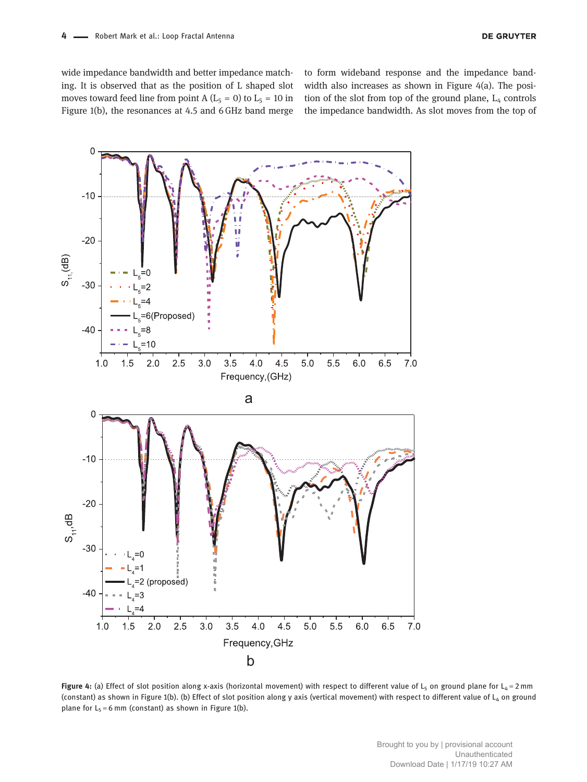wide impedance bandwidth and better impedance matching. It is observed that as the position of L shaped slot moves toward feed line from point A ( $L_5 = 0$ ) to  $L_5 = 10$  in Figure 1(b), the resonances at 4.5 and 6 GHz band merge to form wideband response and the impedance bandwidth also increases as shown in Figure 4(a). The position of the slot from top of the ground plane,  $L_4$  controls the impedance bandwidth. As slot moves from the top of



Figure 4: (a) Effect of slot position along x-axis (horizontal movement) with respect to different value of L<sub>5</sub> on ground plane for L<sub>4</sub> = 2 mm (constant) as shown in Figure 1(b). (b) Effect of slot position along y axis (vertical movement) with respect to different value of L<sub>4</sub> on ground plane for  $L_5 = 6$  mm (constant) as shown in Figure 1(b).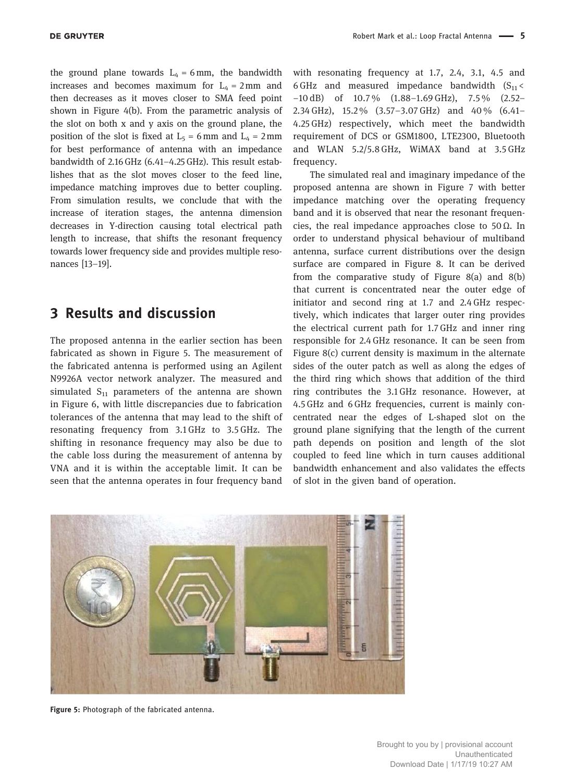the ground plane towards  $L_4 = 6$  mm, the bandwidth increases and becomes maximum for  $L_4 = 2$  mm and then decreases as it moves closer to SMA feed point shown in Figure 4(b). From the parametric analysis of the slot on both x and y axis on the ground plane, the position of the slot is fixed at  $L_5 = 6$  mm and  $L_4 = 2$  mm for best performance of antenna with an impedance bandwidth of 2.16 GHz (6.41–4.25 GHz). This result establishes that as the slot moves closer to the feed line, impedance matching improves due to better coupling. From simulation results, we conclude that with the increase of iteration stages, the antenna dimension decreases in Y-direction causing total electrical path length to increase, that shifts the resonant frequency towards lower frequency side and provides multiple resonances [13–19].

## 3 Results and discussion

The proposed antenna in the earlier section has been fabricated as shown in Figure 5. The measurement of the fabricated antenna is performed using an Agilent N9926A vector network analyzer. The measured and simulated  $S_{11}$  parameters of the antenna are shown in Figure 6, with little discrepancies due to fabrication tolerances of the antenna that may lead to the shift of resonating frequency from 3.1 GHz to 3.5 GHz. The shifting in resonance frequency may also be due to the cable loss during the measurement of antenna by VNA and it is within the acceptable limit. It can be seen that the antenna operates in four frequency band

with resonating frequency at 1.7, 2.4, 3.1, 4.5 and 6 GHz and measured impedance bandwidth  $(S_{11} <$ −10 dB) of 10.7 % (1.88–1.69 GHz), 7.5 % (2.52– 2.34 GHz), 15.2 % (3.57–3.07 GHz) and 40 % (6.41– 4.25 GHz) respectively, which meet the bandwidth requirement of DCS or GSM1800, LTE2300, Bluetooth and WLAN 5.2/5.8 GHz, WiMAX band at 3.5 GHz frequency.

The simulated real and imaginary impedance of the proposed antenna are shown in Figure 7 with better impedance matching over the operating frequency band and it is observed that near the resonant frequencies, the real impedance approaches close to 50 $\Omega$ . In order to understand physical behaviour of multiband antenna, surface current distributions over the design surface are compared in Figure 8. It can be derived from the comparative study of Figure 8(a) and 8(b) that current is concentrated near the outer edge of initiator and second ring at 1.7 and 2.4 GHz respectively, which indicates that larger outer ring provides the electrical current path for 1.7 GHz and inner ring responsible for 2.4 GHz resonance. It can be seen from Figure 8(c) current density is maximum in the alternate sides of the outer patch as well as along the edges of the third ring which shows that addition of the third ring contributes the 3.1 GHz resonance. However, at 4.5 GHz and 6 GHz frequencies, current is mainly concentrated near the edges of L-shaped slot on the ground plane signifying that the length of the current path depends on position and length of the slot coupled to feed line which in turn causes additional bandwidth enhancement and also validates the effects of slot in the given band of operation.



Figure 5: Photograph of the fabricated antenna.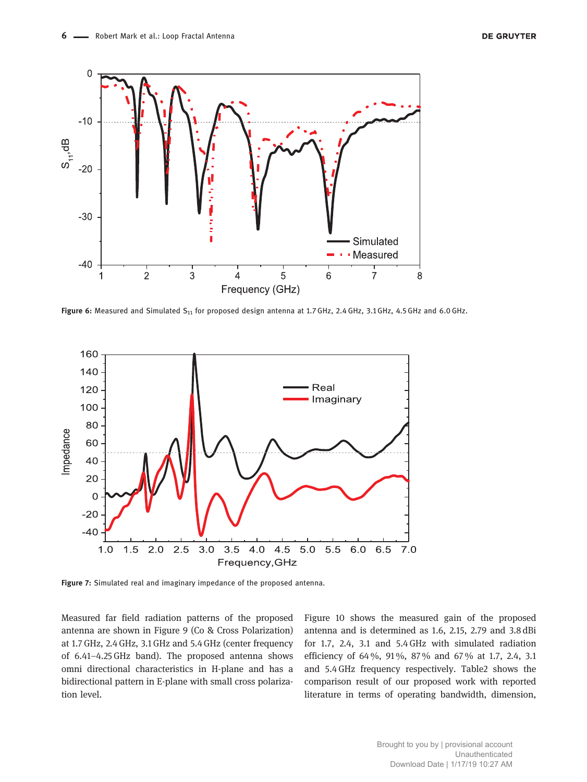

Figure 6: Measured and Simulated  $S_{11}$  for proposed design antenna at 1.7 GHz, 2.4 GHz, 3.1 GHz, 4.5 GHz and 6.0 GHz.



Figure 7: Simulated real and imaginary impedance of the proposed antenna.

Measured far field radiation patterns of the proposed antenna are shown in Figure 9 (Co & Cross Polarization) at 1.7 GHz, 2.4 GHz, 3.1 GHz and 5.4 GHz (center frequency of 6.41–4.25 GHz band). The proposed antenna shows omni directional characteristics in H-plane and has a bidirectional pattern in E-plane with small cross polarization level.

Figure 10 shows the measured gain of the proposed antenna and is determined as 1.6, 2.15, 2.79 and 3.8 dBi for 1.7, 2.4, 3.1 and 5.4 GHz with simulated radiation efficiency of 64 %, 91 %, 87 % and 67 % at 1.7, 2.4, 3.1 and 5.4 GHz frequency respectively. Table2 shows the comparison result of our proposed work with reported literature in terms of operating bandwidth, dimension,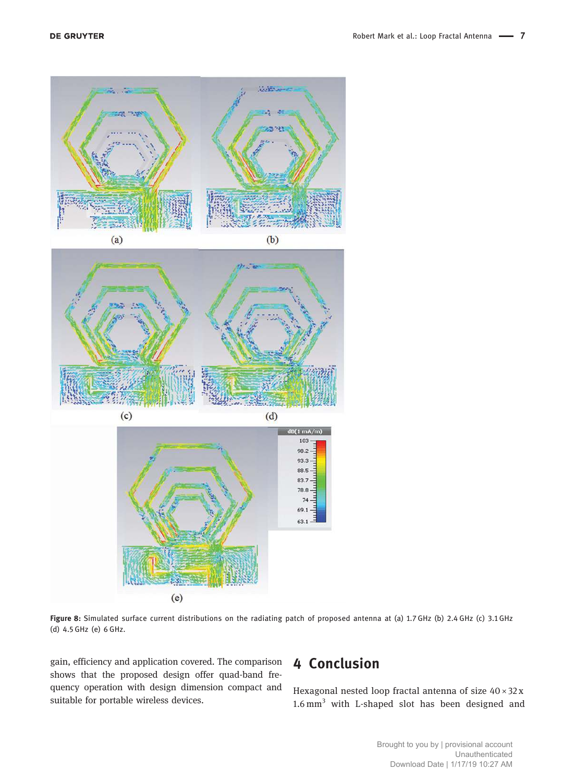

Figure 8: Simulated surface current distributions on the radiating patch of proposed antenna at (a) 1.7 GHz (b) 2.4 GHz (c) 3.1 GHz (d) 4.5 GHz (e) 6 GHz.

gain, efficiency and application covered. The comparison shows that the proposed design offer quad-band frequency operation with design dimension compact and suitable for portable wireless devices.

# 4 Conclusion

Hexagonal nested loop fractal antenna of size  $40 \times 32x$ 1.6 mm<sup>3</sup> with L-shaped slot has been designed and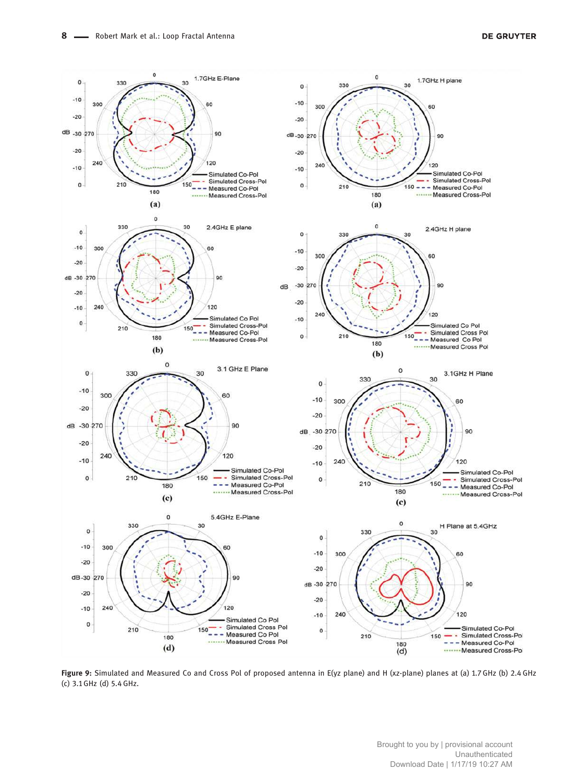

Figure 9: Simulated and Measured Co and Cross Pol of proposed antenna in E(yz plane) and H (xz-plane) planes at (a) 1.7 GHz (b) 2.4 GHz (c) 3.1 GHz (d) 5.4 GHz.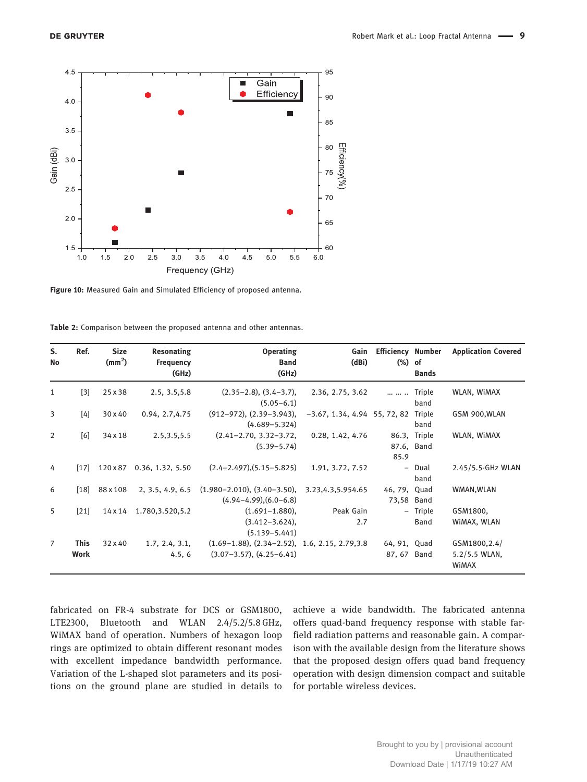

Figure 10: Measured Gain and Simulated Efficiency of proposed antenna.

Table 2: Comparison between the proposed antenna and other antennas.

| S.<br><b>No</b> | Ref.                       | <b>Size</b><br>$\text{(mm}^2)$ | Resonating<br><b>Frequency</b><br>(GHz) | <b>Operating</b><br><b>Band</b><br>(GHz)                                        | Gain<br>(dBi)                   | <b>Efficiency Number</b><br>$(\%)$ of | <b>Bands</b>               | <b>Application Covered</b>             |
|-----------------|----------------------------|--------------------------------|-----------------------------------------|---------------------------------------------------------------------------------|---------------------------------|---------------------------------------|----------------------------|----------------------------------------|
| 1               | $[3]$                      | 25 x 38                        | 2.5, 3.5, 5.8                           | $(2.35-2.8), (3.4-3.7),$<br>$(5.05 - 6.1)$                                      | 2.36, 2.75, 3.62                | $\cdots$ $\cdots$ $\cdots$            | Triple<br>band             | WLAN, WIMAX                            |
| 3               | [4]                        | 30 x 40                        | 0.94, 2.7, 4.75                         | $(912-972), (2.39-3.943),$<br>$(4.689 - 5.324)$                                 | $-3.67, 1.34, 4.94, 55, 72, 82$ |                                       | Triple<br>band             | GSM 900, WLAN                          |
| 2               | [6]                        | 34 x 18                        | 2.5, 3.5, 5.5                           | $(2.41 - 2.70, 3.32 - 3.72,$<br>$(5.39 - 5.74)$                                 | 0.28, 1.42, 4.76                | 85.9                                  | 86.3, Triple<br>87.6, Band | WLAN, WIMAX                            |
| 4               | $[17]$                     | 120 x 87                       | 0.36, 1.32, 5.50                        | $(2.4-2.497),(5.15-5.825)$                                                      | 1.91, 3.72, 7.52                | $-$                                   | Dual<br>band               | 2.45/5.5-GHz WLAN                      |
| 6               | $[18]$                     | 88 x 108                       | 2, 3.5, 4.9, 6.5                        | $(1.980 - 2.010), (3.40 - 3.50),$<br>$(4.94 - 4.99), (6.0 - 6.8)$               | 3.23,4.3,5.954.65               | 46, 79, Quad<br>73,58 Band            |                            | WMAN, WLAN                             |
| 5               | $[21]$                     | 14 x 14                        | 1.780, 3.520, 5.2                       | $(1.691 - 1.880)$ ,<br>$(3.412 - 3.624)$ ,<br>$(5.139 - 5.441)$                 | Peak Gain<br>2.7                |                                       | - Triple<br><b>Band</b>    | GSM1800,<br>WIMAX, WLAN                |
| $\overline{7}$  | <b>This</b><br><b>Work</b> | 32 x 40                        | 1.7, 2.4, 3.1,<br>4.5, 6                | $(1.69-1.88), (2.34-2.52), 1.6, 2.15, 2.79, 3.8)$<br>$(3.07-3.57), (4.25-6.41)$ |                                 | 64, 91, Quad<br>87, 67 Band           |                            | GSM1800,2.4/<br>5.2/5.5 WLAN,<br>WiMAX |

fabricated on FR-4 substrate for DCS or GSM1800, LTE2300, Bluetooth and WLAN 2.4/5.2/5.8 GHz, WiMAX band of operation. Numbers of hexagon loop rings are optimized to obtain different resonant modes with excellent impedance bandwidth performance. Variation of the L-shaped slot parameters and its positions on the ground plane are studied in details to

achieve a wide bandwidth. The fabricated antenna offers quad-band frequency response with stable farfield radiation patterns and reasonable gain. A comparison with the available design from the literature shows that the proposed design offers quad band frequency operation with design dimension compact and suitable for portable wireless devices.